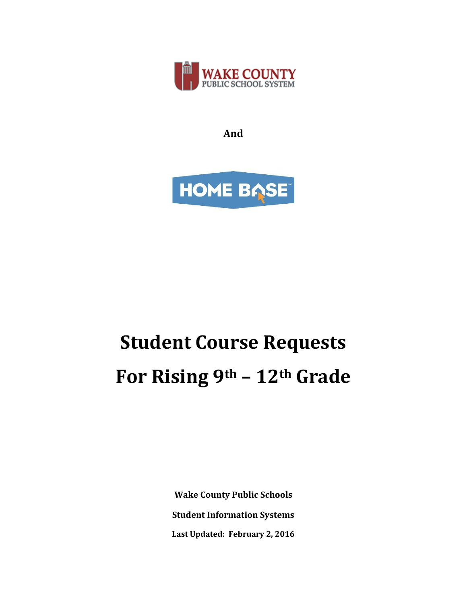

**And**



# **Student Course Requests For Rising 9th – 12th Grade**

**Wake County Public Schools Student Information Systems Last Updated: February 2, 2016**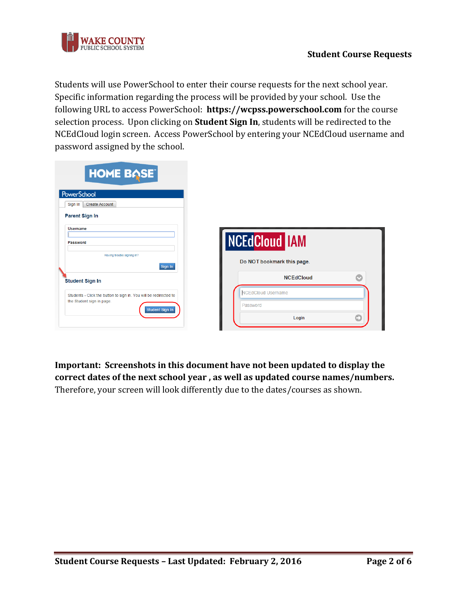

Students will use PowerSchool to enter their course requests for the next school year. Specific information regarding the process will be provided by your school. Use the following URL to access PowerSchool: **https://wcpss.powerschool.com** for the course selection process. Upon clicking on **Student Sign In**, students will be redirected to the NCEdCloud login screen. Access PowerSchool by entering your NCEdCloud username and password assigned by the school.

| <b>NCEdCloud IAM</b><br>Do NOT bookmark this page. |
|----------------------------------------------------|
| $\bullet$<br><b>NCEdCloud</b>                      |
| <b>NCEdCloud Username</b><br>Password              |
|                                                    |

**Important: Screenshots in this document have not been updated to display the correct dates of the next school year , as well as updated course names/numbers.** Therefore, your screen will look differently due to the dates/courses as shown.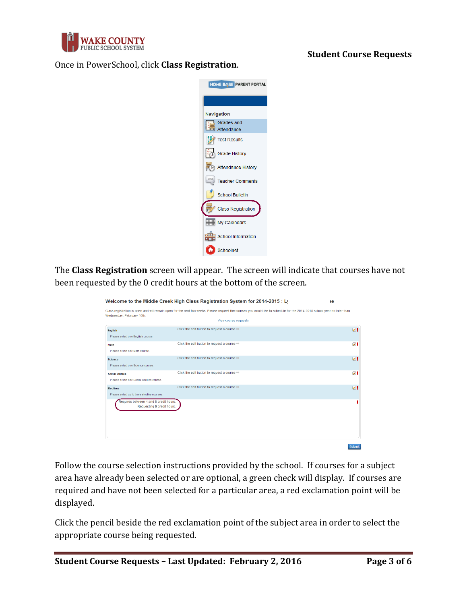

## **Student Course Requests**

#### Once in PowerSchool, click **Class Registration**.



The **Class Registration** screen will appear. The screen will indicate that courses have not been requested by the 0 credit hours at the bottom of the screen.

|                                                                      | Welcome to the Middle Creek High Class Registration System for 2014-2015 : Ly                                                                                             | эе              |
|----------------------------------------------------------------------|---------------------------------------------------------------------------------------------------------------------------------------------------------------------------|-----------------|
| Wednesday, February 19th.                                            | Class registration is open and will remain open for the next two weeks. Please request the courses you would like to schedule for the 2014-2015 school year no later than |                 |
|                                                                      | View course requests                                                                                                                                                      |                 |
| <b>English</b><br>Please select one English course.                  | Click the edit button to request a course $\Rightarrow$                                                                                                                   | 01              |
| Math<br>Please select one Math course.                               | Click the edit button to request a course $\Rightarrow$                                                                                                                   | $\mathscr{S}$   |
| <b>Science</b><br>Please selectione Science course                   | Click the edit button to request a course $\Rightarrow$                                                                                                                   | $\triangledown$ |
| <b>Social Studies</b><br>Please select one Social Studies course.    | Click the edit button to request a course $\Rightarrow$                                                                                                                   | ↗!              |
| <b>Electives</b><br>Please select up to three elective courses.      | Click the edit button to request a course $\Rightarrow$                                                                                                                   | $\mathscr{D}$ . |
| Requires between 4 and 8 credit hours.<br>Requesting 0 credit hours. |                                                                                                                                                                           |                 |
|                                                                      |                                                                                                                                                                           | Submit          |

Follow the course selection instructions provided by the school. If courses for a subject area have already been selected or are optional, a green check will display. If courses are required and have not been selected for a particular area, a red exclamation point will be displayed.

Click the pencil beside the red exclamation point of the subject area in order to select the appropriate course being requested.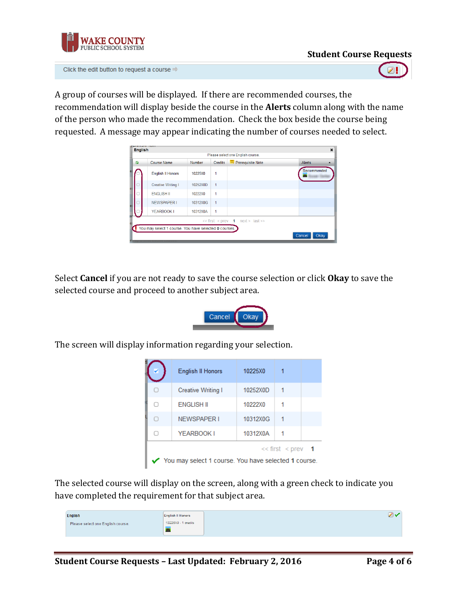

Click the edit button to request a course  $\Rightarrow$ 

A group of courses will be displayed. If there are recommended courses, the recommendation will display beside the course in the **Alerts** column along with the name of the person who made the recommendation. Check the box beside the course being requested. A message may appear indicating the number of courses needed to select.

| ☑ | Course Name               | <b>Number</b> | <b>Credits</b>      | Prerequisite Note            | Alerts      |
|---|---------------------------|---------------|---------------------|------------------------------|-------------|
|   | <b>English II Honors</b>  | 10225X0       | 1                   |                              | Recommended |
|   | <b>Creative Writing I</b> | 10252X0D      | 1                   |                              |             |
|   | <b>ENGLISH II</b>         | 10222X0       | 1                   |                              |             |
|   | <b>NEWSPAPER I</b>        | 10312X0G      | 1                   |                              |             |
|   | YEARBOOK I                | 10312X0A      | 1                   |                              |             |
|   |                           |               | $<<$ first $<$ prev | $\mathbf 1$<br>next > last > |             |

Select **Cancel** if you are not ready to save the course selection or click **Okay** to save the selected course and proceed to another subject area.



The screen will display information regarding your selection.

|                                                                             | English II Honors  | 10225X0  |  |  |  |
|-----------------------------------------------------------------------------|--------------------|----------|--|--|--|
|                                                                             | Creative Writing I | 10252X0D |  |  |  |
| Γl                                                                          | <b>FNGLISH II</b>  | 10222X0  |  |  |  |
| O                                                                           | <b>NEWSPAPER I</b> | 10312X0G |  |  |  |
|                                                                             | YEARBOOK I         | 10312X0A |  |  |  |
| $<<$ first $<$ prev<br>You may select 1 course. You have selected 1 course. |                    |          |  |  |  |

The selected course will display on the screen, along with a green check to indicate you have completed the requirement for that subject area.

| <b>English</b>                    | <b>English II Honors</b> |  |
|-----------------------------------|--------------------------|--|
| Please select one English course. | 10225X0 - 1 credits      |  |
|                                   |                          |  |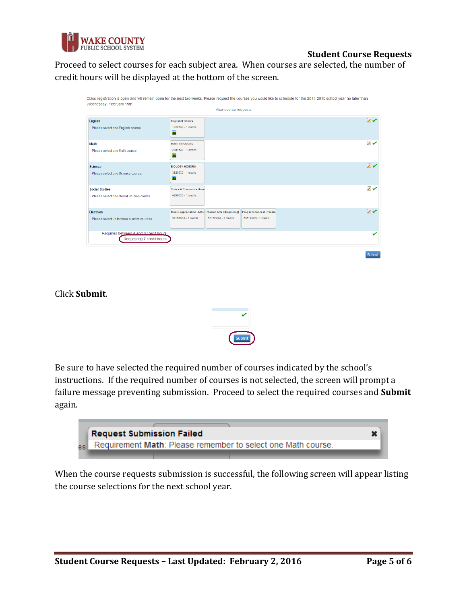

# **Student Course Requests**

Proceed to select courses for each subject area. When courses are selected, the number of credit hours will be displayed at the bottom of the screen.

|                                                                      |                                                                             | View course requests |                                                   |               |
|----------------------------------------------------------------------|-----------------------------------------------------------------------------|----------------------|---------------------------------------------------|---------------|
| <b>English</b><br>Please select one English course.                  | <b>English II Honors</b><br>10225X0 - 1 credits<br>$\overline{\mathbf{r}}$  |                      |                                                   | ファ            |
| Math<br>Please select one Math course.                               | <b>MATH II HONORS</b><br>22015X0 - 1 credits<br><b>A</b>                    |                      |                                                   | $\mathcal{L}$ |
| <b>Science</b><br>Please select one Science course.                  | <b>BIOLOGY HONORS</b><br>33205X0 - 1 credits<br>$\overline{\mathbf{A}}$     |                      |                                                   | フィ            |
| <b>Social Studies</b><br>Please select one Social Studies course.    | <b>Civics &amp; Economics Hong</b><br>42095X0 - 1 credits                   |                      |                                                   | ファ            |
| <b>Electives</b><br>Please select up to three elective courses.      | Music Appreciation - MS (Theater Arts I (Beginning)<br>52162X0A - 1 credits | 53152X0A - 1 credits | Prog & Broadcast I-Theate<br>53612X0B - 1 credits | $\mathbb{Z}$  |
| Requires between 4 and 8 credit hours.<br>Requesting 7 credit hours. |                                                                             |                      |                                                   |               |

Click **Submit**.



Be sure to have selected the required number of courses indicated by the school's instructions. If the required number of courses is not selected, the screen will prompt a failure message preventing submission. Proceed to select the required courses and **Submit** again.



When the course requests submission is successful, the following screen will appear listing the course selections for the next school year.